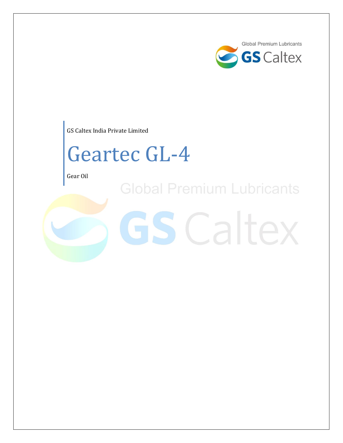

GS Caltex India Private Limited

# Geartec GL-4

Gear Oil

**Global Premium Lubricants** 

**GS** Caltex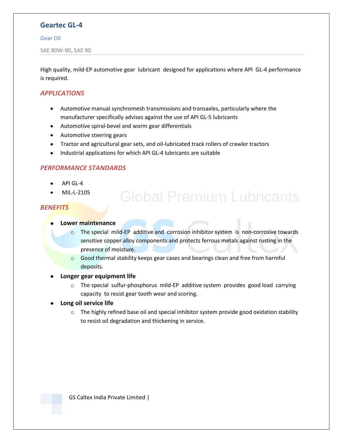## **Geartec GL-4**

#### Gear Oil

SAE 80W-90, SAE 90

High quality, mild-EP automotive gear lubricant designed for applications where API GL-4 performance is required.

#### *APPLICATIONS*

- Automotive manual synchromesh transmissions and transaxles, particularly where the manufacturer specifically advises against the use of API GL-5 lubricants
- Automotive spiral-bevel and worm gear differentials
- Automotive steering gears
- Tractor and agricultural gear sets, and oil-lubricated track rollers of crawler tractors
- Industrial applications for which API GL-4 lubricants are suitable  $\bullet$

#### *PERFORMANCE STANDARDS*

- API GL-4
- MIL-L-2105

#### *BENEFITS*

- **Lower maintenance**
	- o The special mild-EP additive and corrosion inhibitor system is non-corrosive towards sensitive copper alloy components and protects ferrous metals against rusting in the presence of moisture.

**Global Premium Lubricants** 

- $\circ$  Good thermal stability keeps gear cases and bearings clean and free from harmful deposits.
- **Longer gear equipment life**
	- $\circ$  The special sulfur-phosphorus mild-EP additive system provides good load carrying capacity to resist gear tooth wear and scoring.
- **Long oil service life**
	- $\circ$  The highly refined base oil and special inhibitor system provide good oxidation stability to resist oil degradation and thickening in service.